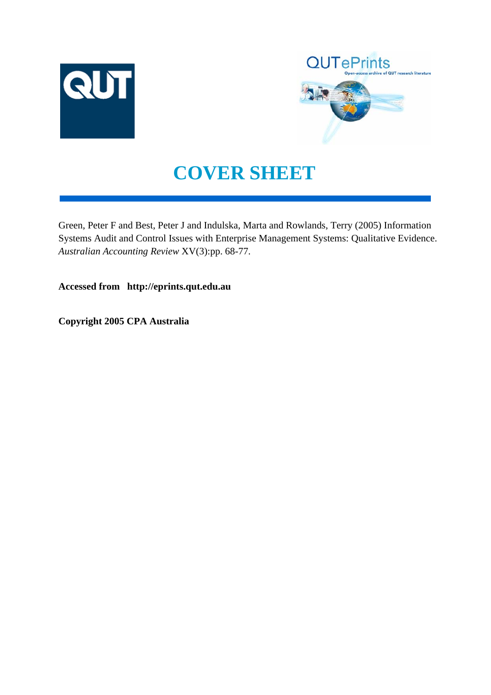



# **COVER SHEET**

Green, Peter F and Best, Peter J and Indulska, Marta and Rowlands, Terry (2005) Information Systems Audit and Control Issues with Enterprise Management Systems: Qualitative Evidence. *Australian Accounting Review* XV(3):pp. 68-77.

**Accessed from http://eprints.qut.edu.au**

**Copyright 2005 CPA Australia**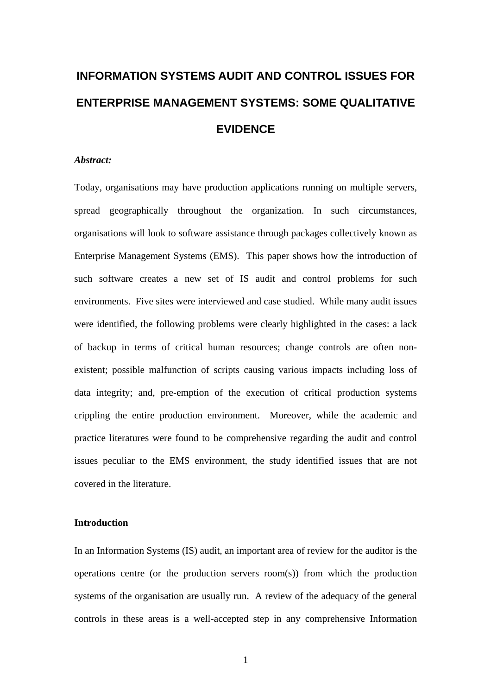# **INFORMATION SYSTEMS AUDIT AND CONTROL ISSUES FOR ENTERPRISE MANAGEMENT SYSTEMS: SOME QUALITATIVE EVIDENCE**

## *Abstract:*

Today, organisations may have production applications running on multiple servers, spread geographically throughout the organization. In such circumstances, organisations will look to software assistance through packages collectively known as Enterprise Management Systems (EMS). This paper shows how the introduction of such software creates a new set of IS audit and control problems for such environments. Five sites were interviewed and case studied. While many audit issues were identified, the following problems were clearly highlighted in the cases: a lack of backup in terms of critical human resources; change controls are often nonexistent; possible malfunction of scripts causing various impacts including loss of data integrity; and, pre-emption of the execution of critical production systems crippling the entire production environment. Moreover, while the academic and practice literatures were found to be comprehensive regarding the audit and control issues peculiar to the EMS environment, the study identified issues that are not covered in the literature.

# **Introduction**

In an Information Systems (IS) audit, an important area of review for the auditor is the operations centre (or the production servers room(s)) from which the production systems of the organisation are usually run. A review of the adequacy of the general controls in these areas is a well-accepted step in any comprehensive Information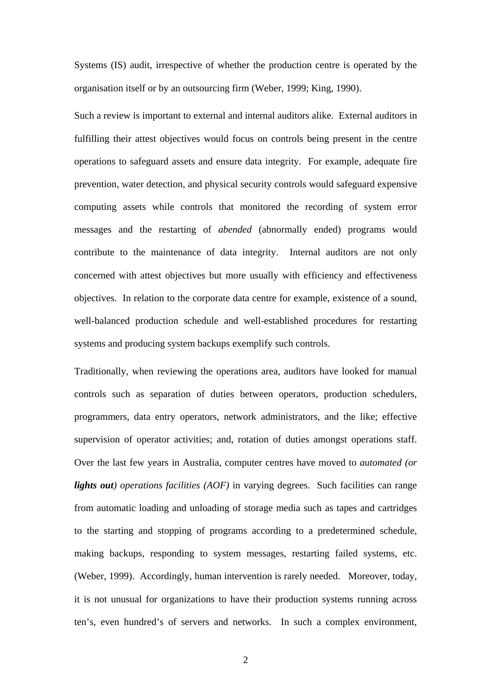Systems (IS) audit, irrespective of whether the production centre is operated by the organisation itself or by an outsourcing firm (Weber, 1999; King, 1990).

Such a review is important to external and internal auditors alike. External auditors in fulfilling their attest objectives would focus on controls being present in the centre operations to safeguard assets and ensure data integrity. For example, adequate fire prevention, water detection, and physical security controls would safeguard expensive computing assets while controls that monitored the recording of system error messages and the restarting of *abended* (abnormally ended) programs would contribute to the maintenance of data integrity. Internal auditors are not only concerned with attest objectives but more usually with efficiency and effectiveness objectives. In relation to the corporate data centre for example, existence of a sound, well-balanced production schedule and well-established procedures for restarting systems and producing system backups exemplify such controls.

Traditionally, when reviewing the operations area, auditors have looked for manual controls such as separation of duties between operators, production schedulers, programmers, data entry operators, network administrators, and the like; effective supervision of operator activities; and, rotation of duties amongst operations staff. Over the last few years in Australia, computer centres have moved to *automated (or lights out) operations facilities (AOF)* in varying degrees. Such facilities can range from automatic loading and unloading of storage media such as tapes and cartridges to the starting and stopping of programs according to a predetermined schedule, making backups, responding to system messages, restarting failed systems, etc. (Weber, 1999). Accordingly, human intervention is rarely needed. Moreover, today, it is not unusual for organizations to have their production systems running across ten's, even hundred's of servers and networks. In such a complex environment,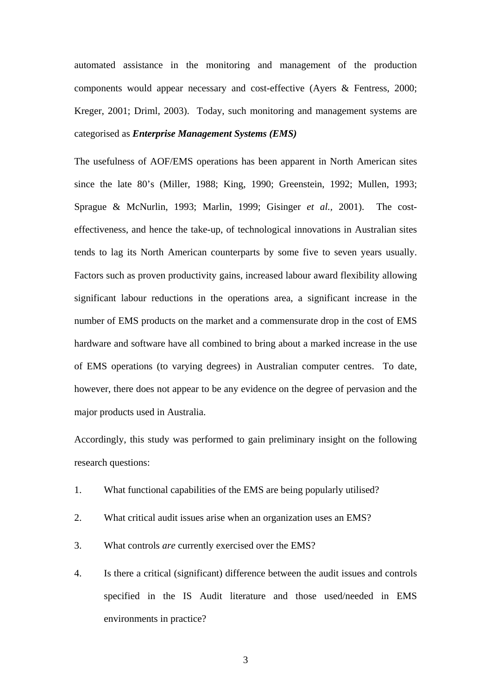automated assistance in the monitoring and management of the production components would appear necessary and cost-effective (Ayers & Fentress, 2000; Kreger, 2001; Driml, 2003). Today, such monitoring and management systems are categorised as *Enterprise Management Systems (EMS)*

The usefulness of AOF/EMS operations has been apparent in North American sites since the late 80's (Miller, 1988; King, 1990; Greenstein, 1992; Mullen, 1993; Sprague & McNurlin, 1993; Marlin, 1999; Gisinger *et al.,* 2001). The costeffectiveness, and hence the take-up, of technological innovations in Australian sites tends to lag its North American counterparts by some five to seven years usually. Factors such as proven productivity gains, increased labour award flexibility allowing significant labour reductions in the operations area, a significant increase in the number of EMS products on the market and a commensurate drop in the cost of EMS hardware and software have all combined to bring about a marked increase in the use of EMS operations (to varying degrees) in Australian computer centres. To date, however, there does not appear to be any evidence on the degree of pervasion and the major products used in Australia.

Accordingly, this study was performed to gain preliminary insight on the following research questions:

- 1. What functional capabilities of the EMS are being popularly utilised?
- 2. What critical audit issues arise when an organization uses an EMS?
- 3. What controls *are* currently exercised over the EMS?
- 4. Is there a critical (significant) difference between the audit issues and controls specified in the IS Audit literature and those used/needed in EMS environments in practice?

3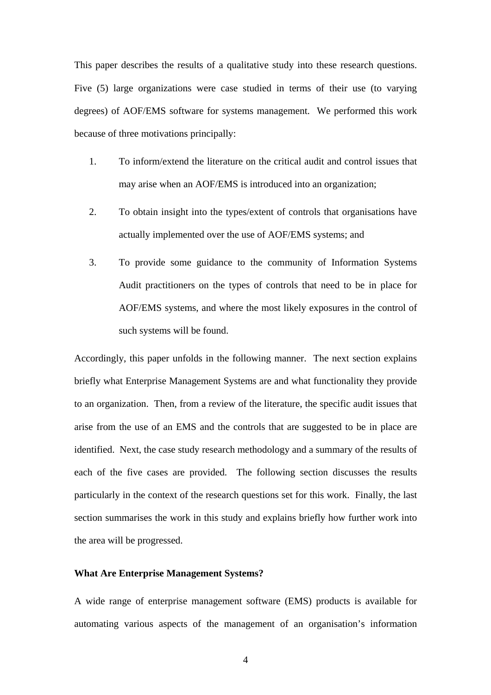This paper describes the results of a qualitative study into these research questions. Five (5) large organizations were case studied in terms of their use (to varying degrees) of AOF/EMS software for systems management. We performed this work because of three motivations principally:

- 1. To inform/extend the literature on the critical audit and control issues that may arise when an AOF/EMS is introduced into an organization;
- 2. To obtain insight into the types/extent of controls that organisations have actually implemented over the use of AOF/EMS systems; and
- 3. To provide some guidance to the community of Information Systems Audit practitioners on the types of controls that need to be in place for AOF/EMS systems, and where the most likely exposures in the control of such systems will be found.

Accordingly, this paper unfolds in the following manner. The next section explains briefly what Enterprise Management Systems are and what functionality they provide to an organization. Then, from a review of the literature, the specific audit issues that arise from the use of an EMS and the controls that are suggested to be in place are identified. Next, the case study research methodology and a summary of the results of each of the five cases are provided. The following section discusses the results particularly in the context of the research questions set for this work. Finally, the last section summarises the work in this study and explains briefly how further work into the area will be progressed.

#### **What Are Enterprise Management Systems?**

A wide range of enterprise management software (EMS) products is available for automating various aspects of the management of an organisation's information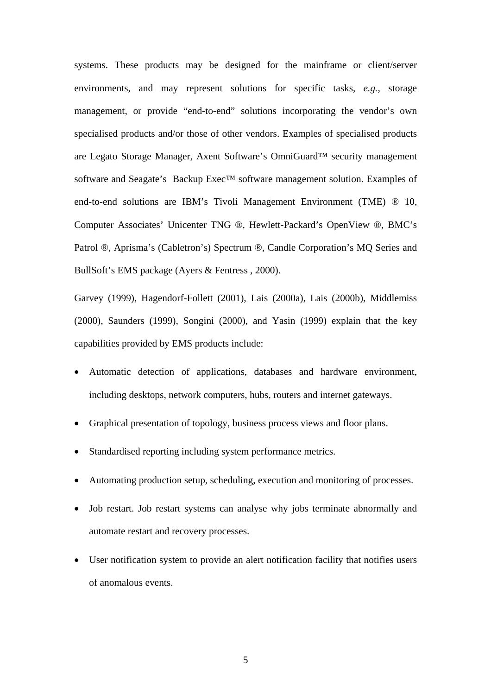systems. These products may be designed for the mainframe or client/server environments, and may represent solutions for specific tasks, *e.g.,* storage management, or provide "end-to-end" solutions incorporating the vendor's own specialised products and/or those of other vendors. Examples of specialised products are Legato Storage Manager, Axent Software's OmniGuard™ security management software and Seagate's Backup Exec<sup>™</sup> software management solution. Examples of end-to-end solutions are IBM's Tivoli Management Environment (TME) ® 10, Computer Associates' Unicenter TNG ®, Hewlett-Packard's OpenView ®, BMC's Patrol ®, Aprisma's (Cabletron's) Spectrum ®, Candle Corporation's MQ Series and BullSoft's EMS package (Ayers & Fentress , 2000).

Garvey (1999), Hagendorf-Follett (2001), Lais (2000a), Lais (2000b), Middlemiss (2000), Saunders (1999), Songini (2000), and Yasin (1999) explain that the key capabilities provided by EMS products include:

- Automatic detection of applications, databases and hardware environment, including desktops, network computers, hubs, routers and internet gateways.
- Graphical presentation of topology, business process views and floor plans.
- Standardised reporting including system performance metrics.
- Automating production setup, scheduling, execution and monitoring of processes.
- Job restart. Job restart systems can analyse why jobs terminate abnormally and automate restart and recovery processes.
- User notification system to provide an alert notification facility that notifies users of anomalous events.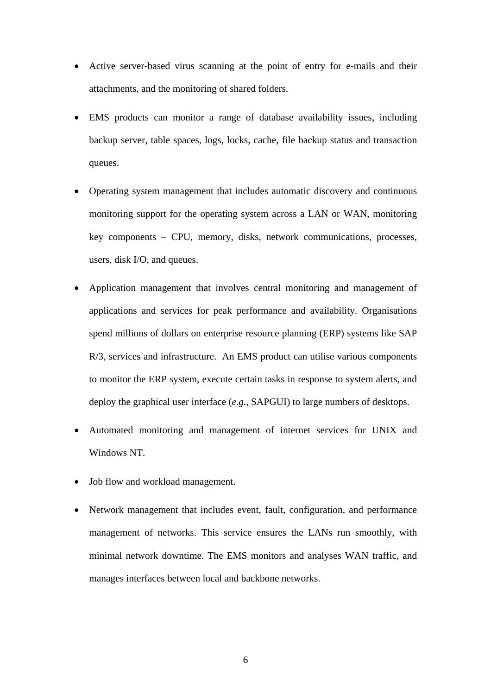- Active server-based virus scanning at the point of entry for e-mails and their attachments, and the monitoring of shared folders.
- EMS products can monitor a range of database availability issues, including backup server, table spaces, logs, locks, cache, file backup status and transaction queues.
- Operating system management that includes automatic discovery and continuous monitoring support for the operating system across a LAN or WAN, monitoring key components – CPU, memory, disks, network communications, processes, users, disk I/O, and queues.
- Application management that involves central monitoring and management of applications and services for peak performance and availability. Organisations spend millions of dollars on enterprise resource planning (ERP) systems like SAP R/3, services and infrastructure. An EMS product can utilise various components to monitor the ERP system, execute certain tasks in response to system alerts, and deploy the graphical user interface (*e.g.,* SAPGUI) to large numbers of desktops.
- Automated monitoring and management of internet services for UNIX and Windows NT.
- Job flow and workload management.
- Network management that includes event, fault, configuration, and performance management of networks. This service ensures the LANs run smoothly, with minimal network downtime. The EMS monitors and analyses WAN traffic, and manages interfaces between local and backbone networks.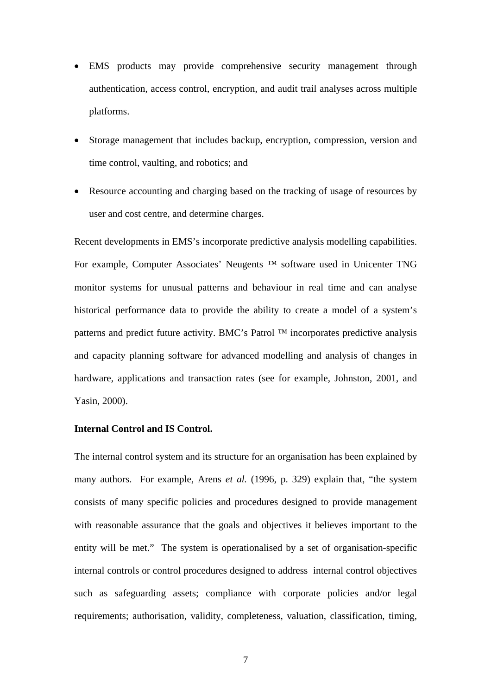- EMS products may provide comprehensive security management through authentication, access control, encryption, and audit trail analyses across multiple platforms.
- Storage management that includes backup, encryption, compression, version and time control, vaulting, and robotics; and
- Resource accounting and charging based on the tracking of usage of resources by user and cost centre, and determine charges.

Recent developments in EMS's incorporate predictive analysis modelling capabilities. For example, Computer Associates' Neugents ™ software used in Unicenter TNG monitor systems for unusual patterns and behaviour in real time and can analyse historical performance data to provide the ability to create a model of a system's patterns and predict future activity. BMC's Patrol ™ incorporates predictive analysis and capacity planning software for advanced modelling and analysis of changes in hardware, applications and transaction rates (see for example, Johnston, 2001, and Yasin, 2000).

# **Internal Control and IS Control.**

The internal control system and its structure for an organisation has been explained by many authors. For example, Arens *et al.* (1996, p. 329) explain that, "the system consists of many specific policies and procedures designed to provide management with reasonable assurance that the goals and objectives it believes important to the entity will be met." The system is operationalised by a set of organisation-specific internal controls or control procedures designed to address internal control objectives such as safeguarding assets; compliance with corporate policies and/or legal requirements; authorisation, validity, completeness, valuation, classification, timing,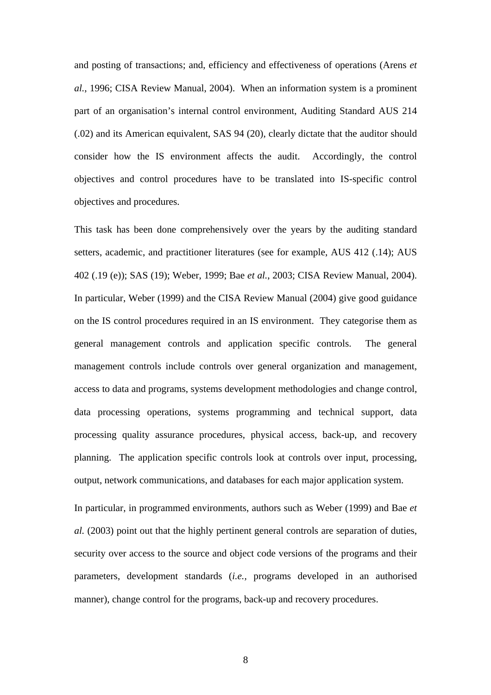and posting of transactions; and, efficiency and effectiveness of operations (Arens *et al.*, 1996; CISA Review Manual, 2004). When an information system is a prominent part of an organisation's internal control environment, Auditing Standard AUS 214 (.02) and its American equivalent, SAS 94 (20), clearly dictate that the auditor should consider how the IS environment affects the audit. Accordingly, the control objectives and control procedures have to be translated into IS-specific control objectives and procedures.

This task has been done comprehensively over the years by the auditing standard setters, academic, and practitioner literatures (see for example, AUS 412 (.14); AUS 402 (.19 (e)); SAS (19); Weber, 1999; Bae *et al.*, 2003; CISA Review Manual, 2004). In particular, Weber (1999) and the CISA Review Manual (2004) give good guidance on the IS control procedures required in an IS environment. They categorise them as general management controls and application specific controls. The general management controls include controls over general organization and management, access to data and programs, systems development methodologies and change control, data processing operations, systems programming and technical support, data processing quality assurance procedures, physical access, back-up, and recovery planning. The application specific controls look at controls over input, processing, output, network communications, and databases for each major application system.

In particular, in programmed environments, authors such as Weber (1999) and Bae *et al.* (2003) point out that the highly pertinent general controls are separation of duties, security over access to the source and object code versions of the programs and their parameters, development standards (*i.e.,* programs developed in an authorised manner), change control for the programs, back-up and recovery procedures.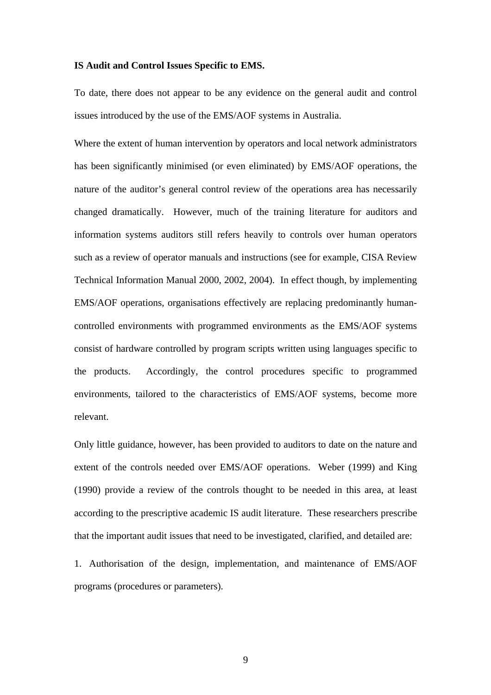#### **IS Audit and Control Issues Specific to EMS.**

To date, there does not appear to be any evidence on the general audit and control issues introduced by the use of the EMS/AOF systems in Australia.

Where the extent of human intervention by operators and local network administrators has been significantly minimised (or even eliminated) by EMS/AOF operations, the nature of the auditor's general control review of the operations area has necessarily changed dramatically. However, much of the training literature for auditors and information systems auditors still refers heavily to controls over human operators such as a review of operator manuals and instructions (see for example, CISA Review Technical Information Manual 2000, 2002, 2004). In effect though, by implementing EMS/AOF operations, organisations effectively are replacing predominantly humancontrolled environments with programmed environments as the EMS/AOF systems consist of hardware controlled by program scripts written using languages specific to the products. Accordingly, the control procedures specific to programmed environments, tailored to the characteristics of EMS/AOF systems, become more relevant.

Only little guidance, however, has been provided to auditors to date on the nature and extent of the controls needed over EMS/AOF operations. Weber (1999) and King (1990) provide a review of the controls thought to be needed in this area, at least according to the prescriptive academic IS audit literature. These researchers prescribe that the important audit issues that need to be investigated, clarified, and detailed are:

1. Authorisation of the design, implementation, and maintenance of EMS/AOF programs (procedures or parameters).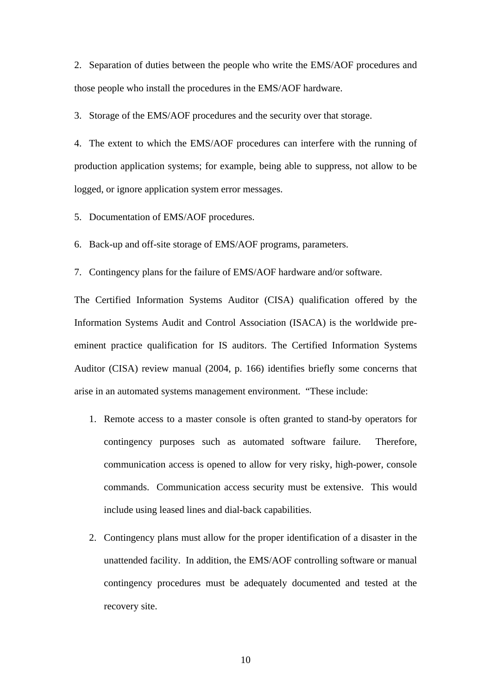2. Separation of duties between the people who write the EMS/AOF procedures and those people who install the procedures in the EMS/AOF hardware.

3. Storage of the EMS/AOF procedures and the security over that storage.

4. The extent to which the EMS/AOF procedures can interfere with the running of production application systems; for example, being able to suppress, not allow to be logged, or ignore application system error messages.

5. Documentation of EMS/AOF procedures.

6. Back-up and off-site storage of EMS/AOF programs, parameters.

7. Contingency plans for the failure of EMS/AOF hardware and/or software.

The Certified Information Systems Auditor (CISA) qualification offered by the Information Systems Audit and Control Association (ISACA) is the worldwide preeminent practice qualification for IS auditors. The Certified Information Systems Auditor (CISA) review manual (2004, p. 166) identifies briefly some concerns that arise in an automated systems management environment. "These include:

- 1. Remote access to a master console is often granted to stand-by operators for contingency purposes such as automated software failure. Therefore, communication access is opened to allow for very risky, high-power, console commands. Communication access security must be extensive. This would include using leased lines and dial-back capabilities.
- 2. Contingency plans must allow for the proper identification of a disaster in the unattended facility. In addition, the EMS/AOF controlling software or manual contingency procedures must be adequately documented and tested at the recovery site.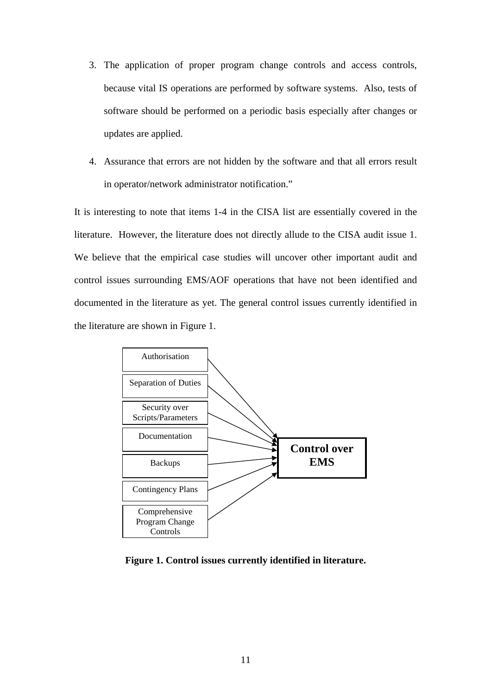- 3. The application of proper program change controls and access controls, because vital IS operations are performed by software systems. Also, tests of software should be performed on a periodic basis especially after changes or updates are applied.
- 4. Assurance that errors are not hidden by the software and that all errors result in operator/network administrator notification."

It is interesting to note that items 1-4 in the CISA list are essentially covered in the literature. However, the literature does not directly allude to the CISA audit issue 1. We believe that the empirical case studies will uncover other important audit and control issues surrounding EMS/AOF operations that have not been identified and documented in the literature as yet. The general control issues currently identified in the literature are shown in Figure 1.



**Figure 1. Control issues currently identified in literature.**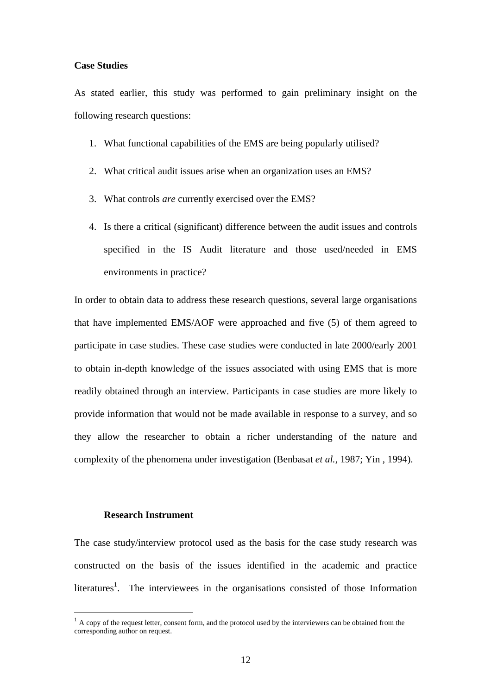#### **Case Studies**

As stated earlier, this study was performed to gain preliminary insight on the following research questions:

- 1. What functional capabilities of the EMS are being popularly utilised?
- 2. What critical audit issues arise when an organization uses an EMS?
- 3. What controls *are* currently exercised over the EMS?
- 4. Is there a critical (significant) difference between the audit issues and controls specified in the IS Audit literature and those used/needed in EMS environments in practice?

In order to obtain data to address these research questions, several large organisations that have implemented EMS/AOF were approached and five (5) of them agreed to participate in case studies. These case studies were conducted in late 2000/early 2001 to obtain in-depth knowledge of the issues associated with using EMS that is more readily obtained through an interview. Participants in case studies are more likely to provide information that would not be made available in response to a survey, and so they allow the researcher to obtain a richer understanding of the nature and complexity of the phenomena under investigation (Benbasat *et al.*, 1987; Yin , 1994).

#### **Research Instrument**

 $\overline{a}$ 

The case study/interview protocol used as the basis for the case study research was constructed on the basis of the issues identified in the academic and practice literatures<sup>1</sup>. The interviewees in the organisations consisted of those Information

 $<sup>1</sup>$  A copy of the request letter, consent form, and the protocol used by the interviewers can be obtained from the</sup> corresponding author on request.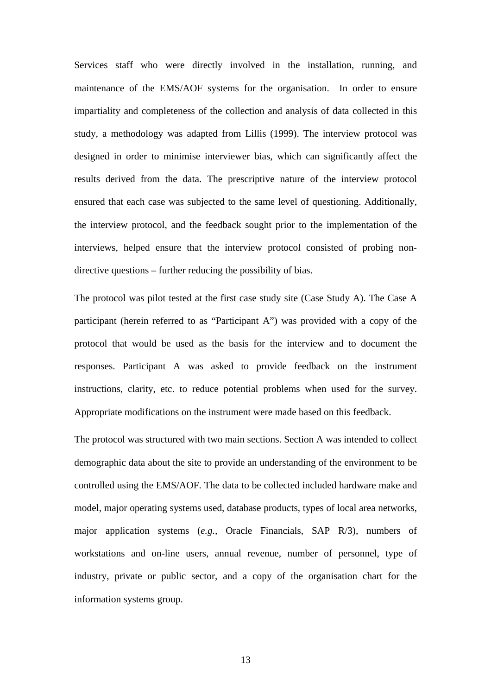Services staff who were directly involved in the installation, running, and maintenance of the EMS/AOF systems for the organisation. In order to ensure impartiality and completeness of the collection and analysis of data collected in this study, a methodology was adapted from Lillis (1999). The interview protocol was designed in order to minimise interviewer bias, which can significantly affect the results derived from the data. The prescriptive nature of the interview protocol ensured that each case was subjected to the same level of questioning. Additionally, the interview protocol, and the feedback sought prior to the implementation of the interviews, helped ensure that the interview protocol consisted of probing nondirective questions – further reducing the possibility of bias.

The protocol was pilot tested at the first case study site (Case Study A). The Case A participant (herein referred to as "Participant A") was provided with a copy of the protocol that would be used as the basis for the interview and to document the responses. Participant A was asked to provide feedback on the instrument instructions, clarity, etc. to reduce potential problems when used for the survey. Appropriate modifications on the instrument were made based on this feedback.

The protocol was structured with two main sections. Section A was intended to collect demographic data about the site to provide an understanding of the environment to be controlled using the EMS/AOF. The data to be collected included hardware make and model, major operating systems used, database products, types of local area networks, major application systems (*e.g.,* Oracle Financials, SAP R/3), numbers of workstations and on-line users, annual revenue, number of personnel, type of industry, private or public sector, and a copy of the organisation chart for the information systems group.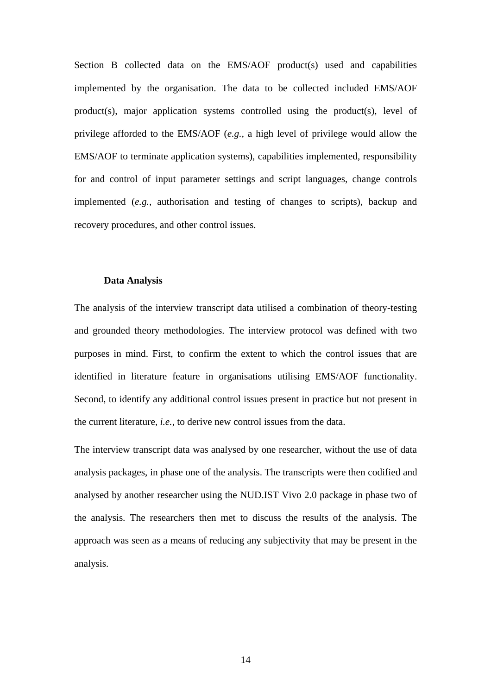Section B collected data on the EMS/AOF product(s) used and capabilities implemented by the organisation. The data to be collected included EMS/AOF product(s), major application systems controlled using the product(s), level of privilege afforded to the EMS/AOF (*e.g.,* a high level of privilege would allow the EMS/AOF to terminate application systems), capabilities implemented, responsibility for and control of input parameter settings and script languages, change controls implemented (*e.g.,* authorisation and testing of changes to scripts), backup and recovery procedures, and other control issues.

#### **Data Analysis**

The analysis of the interview transcript data utilised a combination of theory-testing and grounded theory methodologies. The interview protocol was defined with two purposes in mind. First, to confirm the extent to which the control issues that are identified in literature feature in organisations utilising EMS/AOF functionality. Second, to identify any additional control issues present in practice but not present in the current literature, *i.e.,* to derive new control issues from the data.

The interview transcript data was analysed by one researcher, without the use of data analysis packages, in phase one of the analysis. The transcripts were then codified and analysed by another researcher using the NUD.IST Vivo 2.0 package in phase two of the analysis. The researchers then met to discuss the results of the analysis. The approach was seen as a means of reducing any subjectivity that may be present in the analysis.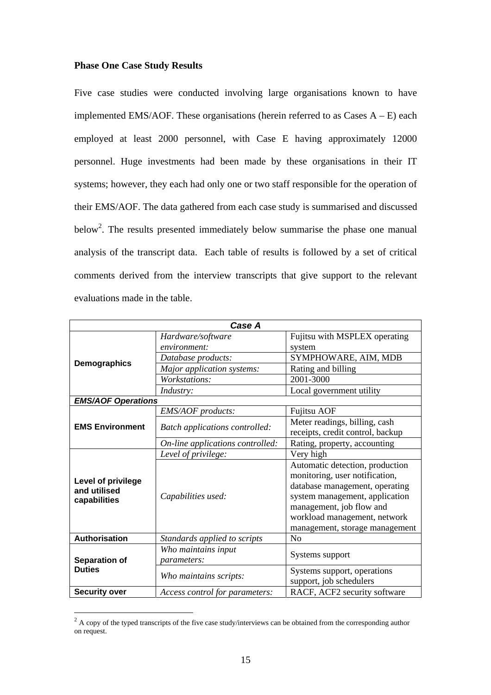#### **Phase One Case Study Results**

Five case studies were conducted involving large organisations known to have implemented EMS/AOF. These organisations (herein referred to as Cases  $A - E$ ) each employed at least 2000 personnel, with Case E having approximately 12000 personnel. Huge investments had been made by these organisations in their IT systems; however, they each had only one or two staff responsible for the operation of their EMS/AOF. The data gathered from each case study is summarised and discussed below<sup>2</sup>. The results presented immediately below summarise the phase one manual analysis of the transcript data. Each table of results is followed by a set of critical comments derived from the interview transcripts that give support to the relevant evaluations made in the table.

| Case A                         |                                       |                                  |  |
|--------------------------------|---------------------------------------|----------------------------------|--|
|                                | Hardware/software                     | Fujitsu with MSPLEX operating    |  |
|                                | environment:                          | system                           |  |
|                                | Database products:                    | SYMPHOWARE, AIM, MDB             |  |
| <b>Demographics</b>            | Major application systems:            | Rating and billing               |  |
|                                | Workstations:                         | 2001-3000                        |  |
|                                | Industry:                             | Local government utility         |  |
| <b>EMS/AOF Operations</b>      |                                       |                                  |  |
|                                | EMS/AOF products:                     | <b>Fujitsu AOF</b>               |  |
| <b>EMS Environment</b>         | <b>Batch applications controlled:</b> | Meter readings, billing, cash    |  |
|                                |                                       | receipts, credit control, backup |  |
|                                | On-line applications controlled:      | Rating, property, accounting     |  |
|                                | Level of privilege:                   | Very high                        |  |
|                                |                                       | Automatic detection, production  |  |
| <b>Level of privilege</b>      |                                       | monitoring, user notification,   |  |
| and utilised                   | Capabilities used:                    | database management, operating   |  |
| capabilities                   |                                       | system management, application   |  |
|                                |                                       | management, job flow and         |  |
|                                |                                       | workload management, network     |  |
|                                |                                       | management, storage management   |  |
| <b>Authorisation</b>           | Standards applied to scripts          | No                               |  |
| Separation of<br><b>Duties</b> | Who maintains input                   | Systems support                  |  |
|                                | parameters:                           |                                  |  |
|                                | Who maintains scripts:                | Systems support, operations      |  |
|                                |                                       | support, job schedulers          |  |
| <b>Security over</b>           | Access control for parameters:        | RACF, ACF2 security software     |  |

<sup>&</sup>lt;sup>2</sup> A copy of the typed transcripts of the five case study/interviews can be obtained from the corresponding author on request.

 $\overline{a}$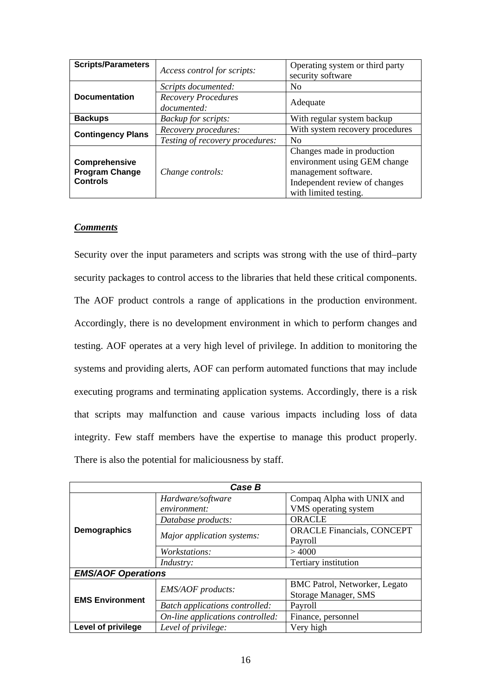| <b>Scripts/Parameters</b>                                 | Access control for scripts:               | Operating system or third party<br>security software                                                                                         |  |
|-----------------------------------------------------------|-------------------------------------------|----------------------------------------------------------------------------------------------------------------------------------------------|--|
|                                                           | Scripts documented:                       | N <sub>0</sub>                                                                                                                               |  |
| <b>Documentation</b>                                      | <b>Recovery Procedures</b><br>documented: | Adequate                                                                                                                                     |  |
| <b>Backups</b>                                            | Backup for scripts:                       | With regular system backup                                                                                                                   |  |
| <b>Contingency Plans</b>                                  | Recovery procedures:                      | With system recovery procedures                                                                                                              |  |
|                                                           | Testing of recovery procedures:           | N <sub>o</sub>                                                                                                                               |  |
| Comprehensive<br><b>Program Change</b><br><b>Controls</b> | Change controls:                          | Changes made in production<br>environment using GEM change<br>management software.<br>Independent review of changes<br>with limited testing. |  |

Security over the input parameters and scripts was strong with the use of third–party security packages to control access to the libraries that held these critical components. The AOF product controls a range of applications in the production environment. Accordingly, there is no development environment in which to perform changes and testing. AOF operates at a very high level of privilege. In addition to monitoring the systems and providing alerts, AOF can perform automated functions that may include executing programs and terminating application systems. Accordingly, there is a risk that scripts may malfunction and cause various impacts including loss of data integrity. Few staff members have the expertise to manage this product properly. There is also the potential for maliciousness by staff.

| Case B                    |                                       |                                      |  |
|---------------------------|---------------------------------------|--------------------------------------|--|
|                           | Hardware/software                     | Compaq Alpha with UNIX and           |  |
|                           | environment:                          | VMS operating system                 |  |
|                           | Database products:                    | <b>ORACLE</b>                        |  |
| <b>Demographics</b>       |                                       | <b>ORACLE Financials, CONCEPT</b>    |  |
|                           | Major application systems:            | Payroll                              |  |
|                           | <i>Workstations:</i>                  | >4000                                |  |
|                           | <i>Industry:</i>                      | Tertiary institution                 |  |
| <b>EMS/AOF Operations</b> |                                       |                                      |  |
| <b>EMS Environment</b>    | <b>EMS/AOF</b> products:              | <b>BMC Patrol, Networker, Legato</b> |  |
|                           |                                       | Storage Manager, SMS                 |  |
|                           | <b>Batch applications controlled:</b> | Payroll                              |  |
|                           | On-line applications controlled:      | Finance, personnel                   |  |
| Level of privilege        | Level of privilege:                   | Very high                            |  |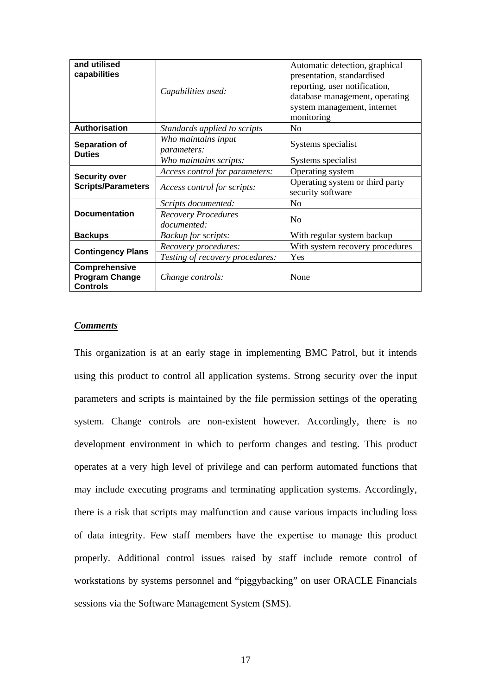| and utilised<br>capabilities                              |                                           | Automatic detection, graphical<br>presentation, standardised                |  |
|-----------------------------------------------------------|-------------------------------------------|-----------------------------------------------------------------------------|--|
|                                                           | Capabilities used:                        | reporting, user notification,                                               |  |
|                                                           |                                           | database management, operating<br>system management, internet<br>monitoring |  |
| Authorisation                                             | Standards applied to scripts              | No                                                                          |  |
| Separation of<br><b>Duties</b>                            | Who maintains input<br><i>parameters:</i> | Systems specialist                                                          |  |
|                                                           | Who maintains scripts:                    | Systems specialist                                                          |  |
|                                                           | Access control for parameters:            | Operating system                                                            |  |
| <b>Security over</b><br><b>Scripts/Parameters</b>         | Access control for scripts:               | Operating system or third party<br>security software                        |  |
|                                                           | Scripts documented:                       | N <sub>o</sub>                                                              |  |
| <b>Documentation</b>                                      | <b>Recovery Procedures</b><br>documented: | No                                                                          |  |
| <b>Backups</b>                                            | <b>Backup for scripts:</b>                | With regular system backup                                                  |  |
| <b>Contingency Plans</b>                                  | Recovery procedures:                      | With system recovery procedures                                             |  |
|                                                           | Testing of recovery procedures:           | Yes                                                                         |  |
| Comprehensive<br><b>Program Change</b><br><b>Controls</b> | Change controls:                          | None                                                                        |  |

This organization is at an early stage in implementing BMC Patrol, but it intends using this product to control all application systems. Strong security over the input parameters and scripts is maintained by the file permission settings of the operating system. Change controls are non-existent however. Accordingly, there is no development environment in which to perform changes and testing. This product operates at a very high level of privilege and can perform automated functions that may include executing programs and terminating application systems. Accordingly, there is a risk that scripts may malfunction and cause various impacts including loss of data integrity. Few staff members have the expertise to manage this product properly. Additional control issues raised by staff include remote control of workstations by systems personnel and "piggybacking" on user ORACLE Financials sessions via the Software Management System (SMS).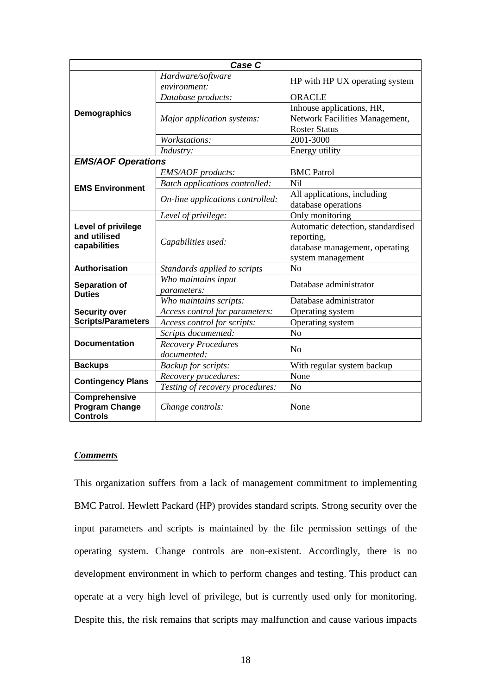| Case C                                                    |                                           |                                                                                                        |  |  |
|-----------------------------------------------------------|-------------------------------------------|--------------------------------------------------------------------------------------------------------|--|--|
|                                                           | Hardware/software<br>environment:         | HP with HP UX operating system                                                                         |  |  |
|                                                           | Database products:                        | <b>ORACLE</b>                                                                                          |  |  |
| Demographics                                              | Major application systems:                | Inhouse applications, HR,<br>Network Facilities Management,<br><b>Roster Status</b>                    |  |  |
|                                                           | Workstations:                             | 2001-3000                                                                                              |  |  |
|                                                           | Industry:                                 | Energy utility                                                                                         |  |  |
| <b>EMS/AOF Operations</b>                                 |                                           |                                                                                                        |  |  |
|                                                           | <b>EMS/AOF</b> products:                  | <b>BMC</b> Patrol                                                                                      |  |  |
| <b>EMS Environment</b>                                    | <b>Batch applications controlled:</b>     | Nil                                                                                                    |  |  |
|                                                           | On-line applications controlled:          | All applications, including<br>database operations                                                     |  |  |
| Level of privilege<br>and utilised<br>capabilities        | Level of privilege:                       | Only monitoring                                                                                        |  |  |
|                                                           | Capabilities used:                        | Automatic detection, standardised<br>reporting,<br>database management, operating<br>system management |  |  |
| <b>Authorisation</b>                                      | Standards applied to scripts              | No                                                                                                     |  |  |
| Separation of<br><b>Duties</b>                            | Who maintains input<br>parameters:        | Database administrator                                                                                 |  |  |
|                                                           | Who maintains scripts:                    | Database administrator                                                                                 |  |  |
| <b>Security over</b>                                      | Access control for parameters:            | Operating system                                                                                       |  |  |
| <b>Scripts/Parameters</b>                                 | Access control for scripts:               | Operating system                                                                                       |  |  |
| <b>Documentation</b>                                      | Scripts documented:                       | No                                                                                                     |  |  |
|                                                           | <b>Recovery Procedures</b><br>documented: | N <sub>o</sub>                                                                                         |  |  |
| <b>Backups</b>                                            | Backup for scripts:                       | With regular system backup                                                                             |  |  |
| <b>Contingency Plans</b>                                  | Recovery procedures:                      | None                                                                                                   |  |  |
|                                                           | Testing of recovery procedures:           | N <sub>o</sub>                                                                                         |  |  |
| Comprehensive<br><b>Program Change</b><br><b>Controls</b> | Change controls:                          | None                                                                                                   |  |  |

This organization suffers from a lack of management commitment to implementing BMC Patrol. Hewlett Packard (HP) provides standard scripts. Strong security over the input parameters and scripts is maintained by the file permission settings of the operating system. Change controls are non-existent. Accordingly, there is no development environment in which to perform changes and testing. This product can operate at a very high level of privilege, but is currently used only for monitoring. Despite this, the risk remains that scripts may malfunction and cause various impacts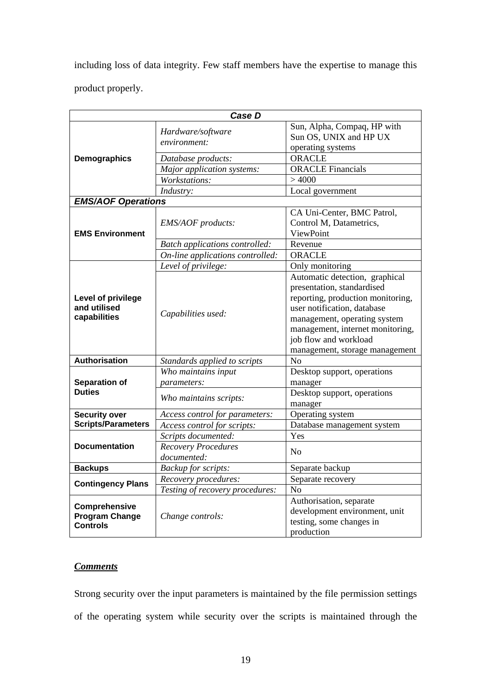including loss of data integrity. Few staff members have the expertise to manage this product properly.

| Case D                                                    |                                           |                                                                                                                                                                                                                                                                 |  |  |
|-----------------------------------------------------------|-------------------------------------------|-----------------------------------------------------------------------------------------------------------------------------------------------------------------------------------------------------------------------------------------------------------------|--|--|
|                                                           | Hardware/software<br>environment:         | Sun, Alpha, Compaq, HP with<br>Sun OS, UNIX and HP UX<br>operating systems                                                                                                                                                                                      |  |  |
| Demographics                                              | Database products:                        | <b>ORACLE</b>                                                                                                                                                                                                                                                   |  |  |
|                                                           | Major application systems:                | <b>ORACLE</b> Financials                                                                                                                                                                                                                                        |  |  |
|                                                           | Workstations:                             | >4000                                                                                                                                                                                                                                                           |  |  |
|                                                           | Industry:                                 | Local government                                                                                                                                                                                                                                                |  |  |
| <b>EMS/AOF Operations</b>                                 |                                           |                                                                                                                                                                                                                                                                 |  |  |
| <b>EMS Environment</b>                                    | EMS/AOF products:                         | CA Uni-Center, BMC Patrol,<br>Control M, Datametrics,<br>ViewPoint                                                                                                                                                                                              |  |  |
|                                                           | <b>Batch applications controlled:</b>     | Revenue                                                                                                                                                                                                                                                         |  |  |
|                                                           | On-line applications controlled:          | <b>ORACLE</b>                                                                                                                                                                                                                                                   |  |  |
|                                                           | Level of privilege:                       | Only monitoring                                                                                                                                                                                                                                                 |  |  |
| Level of privilege<br>and utilised<br>capabilities        | Capabilities used:                        | Automatic detection, graphical<br>presentation, standardised<br>reporting, production monitoring,<br>user notification, database<br>management, operating system<br>management, internet monitoring,<br>job flow and workload<br>management, storage management |  |  |
| <b>Authorisation</b>                                      | Standards applied to scripts              | No                                                                                                                                                                                                                                                              |  |  |
| Separation of                                             | Who maintains input<br>parameters:        | Desktop support, operations<br>manager                                                                                                                                                                                                                          |  |  |
| <b>Duties</b>                                             | Who maintains scripts:                    | Desktop support, operations<br>manager                                                                                                                                                                                                                          |  |  |
| <b>Security over</b>                                      | Access control for parameters:            | Operating system                                                                                                                                                                                                                                                |  |  |
| <b>Scripts/Parameters</b>                                 | Access control for scripts:               | Database management system                                                                                                                                                                                                                                      |  |  |
| <b>Documentation</b>                                      | Scripts documented:                       | Yes                                                                                                                                                                                                                                                             |  |  |
|                                                           | <b>Recovery Procedures</b><br>documented: | N <sub>0</sub>                                                                                                                                                                                                                                                  |  |  |
| <b>Backups</b>                                            | Backup for scripts:                       | Separate backup                                                                                                                                                                                                                                                 |  |  |
| <b>Contingency Plans</b>                                  | Recovery procedures:                      | Separate recovery                                                                                                                                                                                                                                               |  |  |
|                                                           | Testing of recovery procedures:           | N <sub>o</sub>                                                                                                                                                                                                                                                  |  |  |
| Comprehensive<br><b>Program Change</b><br><b>Controls</b> | Change controls:                          | Authorisation, separate<br>development environment, unit<br>testing, some changes in<br>production                                                                                                                                                              |  |  |

# *Comments*

Strong security over the input parameters is maintained by the file permission settings of the operating system while security over the scripts is maintained through the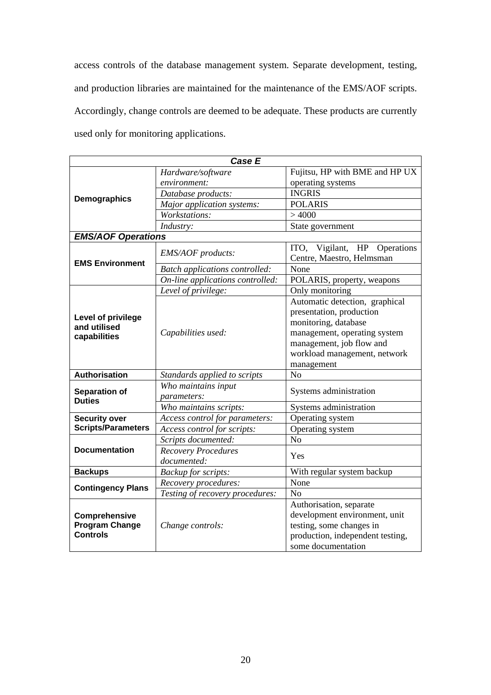access controls of the database management system. Separate development, testing, and production libraries are maintained for the maintenance of the EMS/AOF scripts. Accordingly, change controls are deemed to be adequate. These products are currently used only for monitoring applications.

| Case E                                                    |                                           |                                                              |  |  |
|-----------------------------------------------------------|-------------------------------------------|--------------------------------------------------------------|--|--|
|                                                           | Hardware/software                         | Fujitsu, HP with BME and HP UX                               |  |  |
|                                                           | environment:                              | operating systems                                            |  |  |
| <b>Demographics</b>                                       | Database products:                        | <b>INGRIS</b>                                                |  |  |
|                                                           | Major application systems:                | <b>POLARIS</b>                                               |  |  |
|                                                           | Workstations:                             | >4000                                                        |  |  |
|                                                           | Industry:                                 | State government                                             |  |  |
| <b>EMS/AOF Operations</b>                                 |                                           |                                                              |  |  |
| <b>EMS Environment</b>                                    | EMS/AOF products:                         | Vigilant, HP Operations<br>ITO.<br>Centre, Maestro, Helmsman |  |  |
|                                                           | <b>Batch applications controlled:</b>     | None                                                         |  |  |
|                                                           | On-line applications controlled:          | POLARIS, property, weapons                                   |  |  |
|                                                           | Level of privilege:                       | Only monitoring                                              |  |  |
|                                                           |                                           | Automatic detection, graphical                               |  |  |
|                                                           |                                           | presentation, production                                     |  |  |
| Level of privilege<br>and utilised<br>capabilities        |                                           | monitoring, database                                         |  |  |
|                                                           | Capabilities used:                        | management, operating system                                 |  |  |
|                                                           |                                           | management, job flow and                                     |  |  |
|                                                           |                                           | workload management, network                                 |  |  |
|                                                           |                                           | management                                                   |  |  |
| <b>Authorisation</b>                                      | Standards applied to scripts              | No                                                           |  |  |
| Separation of<br><b>Duties</b>                            | Who maintains input<br><i>parameters:</i> | Systems administration                                       |  |  |
|                                                           | Who maintains scripts:                    | Systems administration                                       |  |  |
| <b>Security over</b>                                      | Access control for parameters:            | Operating system                                             |  |  |
| <b>Scripts/Parameters</b>                                 | Access control for scripts:               | Operating system                                             |  |  |
| <b>Documentation</b>                                      | Scripts documented:                       | N <sub>o</sub>                                               |  |  |
|                                                           | <b>Recovery Procedures</b>                | Yes                                                          |  |  |
|                                                           | documented:                               |                                                              |  |  |
| <b>Backups</b>                                            | <b>Backup</b> for scripts:                | With regular system backup                                   |  |  |
| <b>Contingency Plans</b>                                  | Recovery procedures:                      | None                                                         |  |  |
|                                                           | Testing of recovery procedures:           | No                                                           |  |  |
| Comprehensive<br><b>Program Change</b><br><b>Controls</b> |                                           | Authorisation, separate                                      |  |  |
|                                                           |                                           | development environment, unit                                |  |  |
|                                                           | Change controls:                          | testing, some changes in                                     |  |  |
|                                                           |                                           | production, independent testing,                             |  |  |
|                                                           |                                           | some documentation                                           |  |  |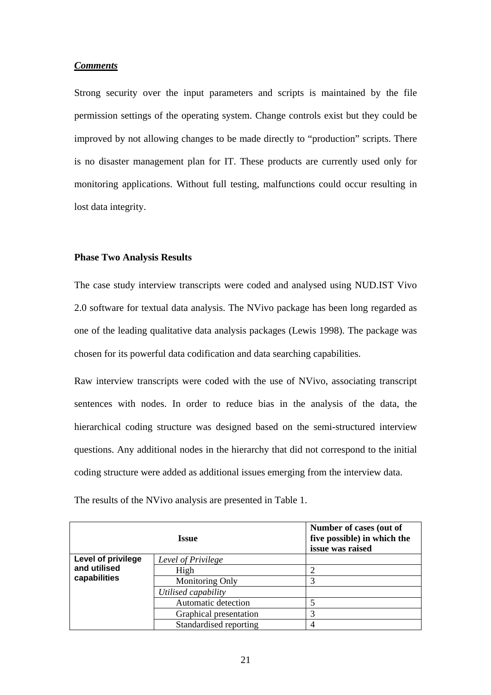Strong security over the input parameters and scripts is maintained by the file permission settings of the operating system. Change controls exist but they could be improved by not allowing changes to be made directly to "production" scripts. There is no disaster management plan for IT. These products are currently used only for monitoring applications. Without full testing, malfunctions could occur resulting in lost data integrity.

#### **Phase Two Analysis Results**

The case study interview transcripts were coded and analysed using NUD.IST Vivo 2.0 software for textual data analysis. The NVivo package has been long regarded as one of the leading qualitative data analysis packages (Lewis 1998). The package was chosen for its powerful data codification and data searching capabilities.

Raw interview transcripts were coded with the use of NVivo, associating transcript sentences with nodes. In order to reduce bias in the analysis of the data, the hierarchical coding structure was designed based on the semi-structured interview questions. Any additional nodes in the hierarchy that did not correspond to the initial coding structure were added as additional issues emerging from the interview data.

| Issue                        |                        | Number of cases (out of<br>five possible) in which the<br>issue was raised |
|------------------------------|------------------------|----------------------------------------------------------------------------|
| Level of privilege           | Level of Privilege     |                                                                            |
| and utilised<br>capabilities | High                   |                                                                            |
|                              | Monitoring Only        |                                                                            |
|                              | Utilised capability    |                                                                            |
|                              | Automatic detection    |                                                                            |
|                              | Graphical presentation | 3                                                                          |
|                              | Standardised reporting |                                                                            |

The results of the NVivo analysis are presented in Table 1.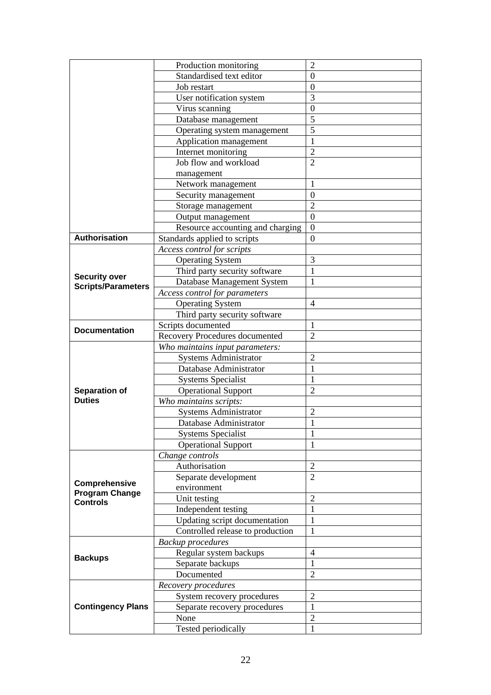|                                                           | Production monitoring                 | $\overline{2}$ |
|-----------------------------------------------------------|---------------------------------------|----------------|
|                                                           | Standardised text editor              | $\theta$       |
|                                                           | Job restart                           | $\theta$       |
|                                                           | User notification system              | 3              |
|                                                           | Virus scanning                        | $\overline{0}$ |
|                                                           | Database management                   | 5              |
|                                                           | Operating system management           | 5              |
|                                                           | Application management                |                |
|                                                           | Internet monitoring                   | $\overline{2}$ |
|                                                           | Job flow and workload                 | $\overline{2}$ |
|                                                           | management                            |                |
|                                                           | Network management                    | 1              |
|                                                           | Security management                   | $\theta$       |
|                                                           | Storage management                    | $\overline{2}$ |
|                                                           | Output management                     | $\overline{0}$ |
|                                                           | Resource accounting and charging      | $\mathbf{0}$   |
| <b>Authorisation</b>                                      | Standards applied to scripts          | $\theta$       |
|                                                           | Access control for scripts            |                |
|                                                           | <b>Operating System</b>               | 3              |
|                                                           | Third party security software         | 1              |
| <b>Security over</b>                                      | Database Management System            | 1              |
| <b>Scripts/Parameters</b>                                 | <b>Access control for parameters</b>  |                |
|                                                           | <b>Operating System</b>               | $\overline{4}$ |
|                                                           | Third party security software         |                |
|                                                           | Scripts documented                    | 1              |
| <b>Documentation</b>                                      | <b>Recovery Procedures documented</b> | $\overline{2}$ |
|                                                           | Who maintains input parameters:       |                |
|                                                           | <b>Systems Administrator</b>          | $\overline{2}$ |
|                                                           | Database Administrator                | 1              |
|                                                           | <b>Systems Specialist</b>             | 1              |
| Separation of                                             | <b>Operational Support</b>            | $\overline{2}$ |
| <b>Duties</b>                                             | Who maintains scripts:                |                |
|                                                           | <b>Systems Administrator</b>          | $\overline{2}$ |
|                                                           | Database Administrator                | 1              |
|                                                           | <b>Systems Specialist</b>             | 1              |
|                                                           | <b>Operational Support</b>            |                |
|                                                           | Change controls                       |                |
|                                                           | Authorisation                         | $\overline{2}$ |
|                                                           | Separate development                  | $\overline{2}$ |
| Comprehensive<br><b>Program Change</b><br><b>Controls</b> | environment                           |                |
|                                                           | Unit testing                          | $\overline{2}$ |
|                                                           | Independent testing                   | $\mathbf{1}$   |
|                                                           | Updating script documentation         | 1              |
|                                                           | Controlled release to production      | 1              |
|                                                           | <b>Backup procedures</b>              |                |
|                                                           | Regular system backups                | $\overline{4}$ |
| <b>Backups</b>                                            | Separate backups                      | 1              |
|                                                           | Documented                            | $\overline{2}$ |
|                                                           | Recovery procedures                   |                |
|                                                           | System recovery procedures            | 2              |
| <b>Contingency Plans</b>                                  | Separate recovery procedures          | $\mathbf{1}$   |
|                                                           | None                                  | $\overline{2}$ |
|                                                           | Tested periodically                   | 1              |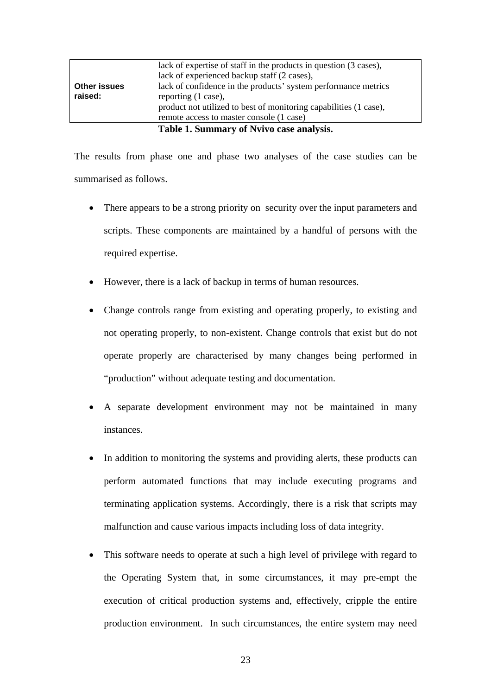| Table 1. Summary of Nvivo case analysis. |
|------------------------------------------|
|------------------------------------------|

The results from phase one and phase two analyses of the case studies can be summarised as follows.

- There appears to be a strong priority on security over the input parameters and scripts. These components are maintained by a handful of persons with the required expertise.
- However, there is a lack of backup in terms of human resources.
- Change controls range from existing and operating properly, to existing and not operating properly, to non-existent. Change controls that exist but do not operate properly are characterised by many changes being performed in "production" without adequate testing and documentation.
- A separate development environment may not be maintained in many instances.
- In addition to monitoring the systems and providing alerts, these products can perform automated functions that may include executing programs and terminating application systems. Accordingly, there is a risk that scripts may malfunction and cause various impacts including loss of data integrity.
- This software needs to operate at such a high level of privilege with regard to the Operating System that, in some circumstances, it may pre-empt the execution of critical production systems and, effectively, cripple the entire production environment. In such circumstances, the entire system may need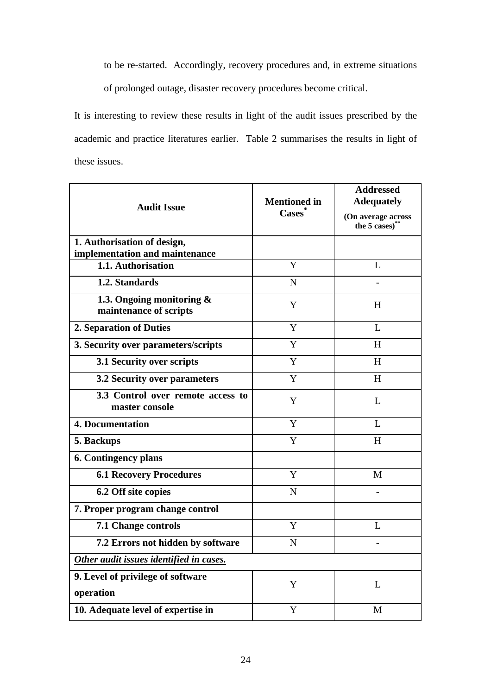to be re-started. Accordingly, recovery procedures and, in extreme situations of prolonged outage, disaster recovery procedures become critical.

It is interesting to review these results in light of the audit issues prescribed by the academic and practice literatures earlier. Table 2 summarises the results in light of these issues.

| <b>Audit Issue</b>                                            | <b>Mentioned in</b><br>Cases <sup>*</sup> | <b>Addressed</b><br><b>Adequately</b><br>(On average across<br>the 5 cases)** |
|---------------------------------------------------------------|-------------------------------------------|-------------------------------------------------------------------------------|
| 1. Authorisation of design,<br>implementation and maintenance |                                           |                                                                               |
| 1.1. Authorisation                                            | Y                                         | L                                                                             |
| 1.2. Standards                                                | $\mathbf N$                               |                                                                               |
| 1.3. Ongoing monitoring &<br>maintenance of scripts           | Y                                         | H                                                                             |
| 2. Separation of Duties                                       | Y                                         | L                                                                             |
| 3. Security over parameters/scripts                           | Y                                         | H                                                                             |
| 3.1 Security over scripts                                     | Y                                         | H                                                                             |
| 3.2 Security over parameters                                  | Y                                         | H                                                                             |
| 3.3 Control over remote access to<br>master console           | Y                                         | L                                                                             |
| <b>4. Documentation</b>                                       | Y                                         | L                                                                             |
| 5. Backups                                                    | Y                                         | H                                                                             |
| <b>6. Contingency plans</b>                                   |                                           |                                                                               |
| <b>6.1 Recovery Procedures</b>                                | Y                                         | M                                                                             |
| 6.2 Off site copies                                           | N                                         |                                                                               |
| 7. Proper program change control                              |                                           |                                                                               |
| 7.1 Change controls                                           | Y                                         | L                                                                             |
| 7.2 Errors not hidden by software                             | N                                         |                                                                               |
| Other audit issues identified in cases.                       |                                           |                                                                               |
| 9. Level of privilege of software<br>operation                | Y                                         | L                                                                             |
| 10. Adequate level of expertise in                            | Y                                         | M                                                                             |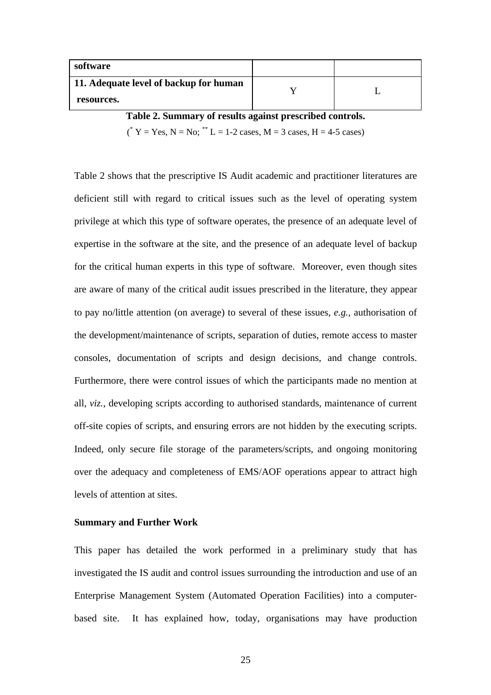| software                               |  |
|----------------------------------------|--|
| 11. Adequate level of backup for human |  |
| resources.                             |  |

**Table 2. Summary of results against prescribed controls.** 

 $({}^*Y = Yes, N = No; {}^{**}L = 1-2 \text{ cases}, M = 3 \text{ cases}, H = 4-5 \text{ cases})$ 

Table 2 shows that the prescriptive IS Audit academic and practitioner literatures are deficient still with regard to critical issues such as the level of operating system privilege at which this type of software operates, the presence of an adequate level of expertise in the software at the site, and the presence of an adequate level of backup for the critical human experts in this type of software. Moreover, even though sites are aware of many of the critical audit issues prescribed in the literature, they appear to pay no/little attention (on average) to several of these issues, *e.g.,* authorisation of the development/maintenance of scripts, separation of duties, remote access to master consoles, documentation of scripts and design decisions, and change controls. Furthermore, there were control issues of which the participants made no mention at all, *viz.*, developing scripts according to authorised standards, maintenance of current off-site copies of scripts, and ensuring errors are not hidden by the executing scripts. Indeed, only secure file storage of the parameters/scripts, and ongoing monitoring over the adequacy and completeness of EMS/AOF operations appear to attract high levels of attention at sites.

#### **Summary and Further Work**

This paper has detailed the work performed in a preliminary study that has investigated the IS audit and control issues surrounding the introduction and use of an Enterprise Management System (Automated Operation Facilities) into a computerbased site. It has explained how, today, organisations may have production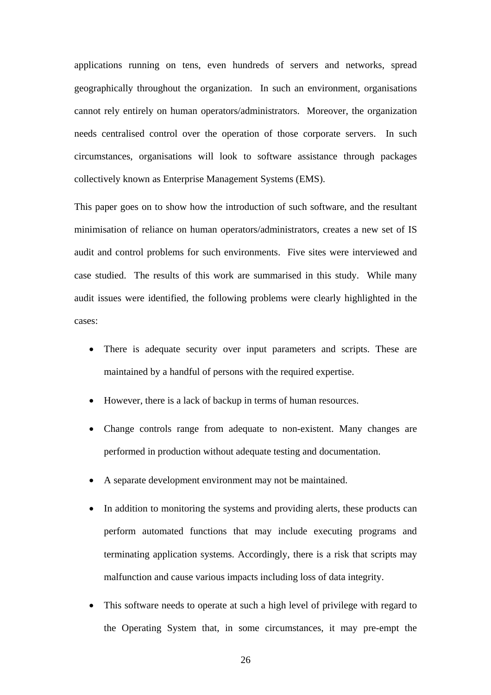applications running on tens, even hundreds of servers and networks, spread geographically throughout the organization. In such an environment, organisations cannot rely entirely on human operators/administrators. Moreover, the organization needs centralised control over the operation of those corporate servers. In such circumstances, organisations will look to software assistance through packages collectively known as Enterprise Management Systems (EMS).

This paper goes on to show how the introduction of such software, and the resultant minimisation of reliance on human operators/administrators, creates a new set of IS audit and control problems for such environments. Five sites were interviewed and case studied. The results of this work are summarised in this study. While many audit issues were identified, the following problems were clearly highlighted in the cases:

- There is adequate security over input parameters and scripts. These are maintained by a handful of persons with the required expertise.
- However, there is a lack of backup in terms of human resources.
- Change controls range from adequate to non-existent. Many changes are performed in production without adequate testing and documentation.
- A separate development environment may not be maintained.
- In addition to monitoring the systems and providing alerts, these products can perform automated functions that may include executing programs and terminating application systems. Accordingly, there is a risk that scripts may malfunction and cause various impacts including loss of data integrity.
- This software needs to operate at such a high level of privilege with regard to the Operating System that, in some circumstances, it may pre-empt the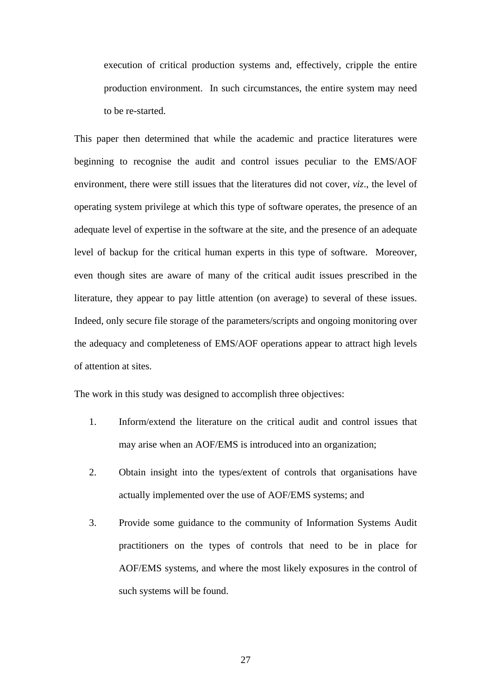execution of critical production systems and, effectively, cripple the entire production environment. In such circumstances, the entire system may need to be re-started.

This paper then determined that while the academic and practice literatures were beginning to recognise the audit and control issues peculiar to the EMS/AOF environment, there were still issues that the literatures did not cover, *viz*., the level of operating system privilege at which this type of software operates, the presence of an adequate level of expertise in the software at the site, and the presence of an adequate level of backup for the critical human experts in this type of software. Moreover, even though sites are aware of many of the critical audit issues prescribed in the literature, they appear to pay little attention (on average) to several of these issues. Indeed, only secure file storage of the parameters/scripts and ongoing monitoring over the adequacy and completeness of EMS/AOF operations appear to attract high levels of attention at sites.

The work in this study was designed to accomplish three objectives:

- 1. Inform/extend the literature on the critical audit and control issues that may arise when an AOF/EMS is introduced into an organization;
- 2. Obtain insight into the types/extent of controls that organisations have actually implemented over the use of AOF/EMS systems; and
- 3. Provide some guidance to the community of Information Systems Audit practitioners on the types of controls that need to be in place for AOF/EMS systems, and where the most likely exposures in the control of such systems will be found.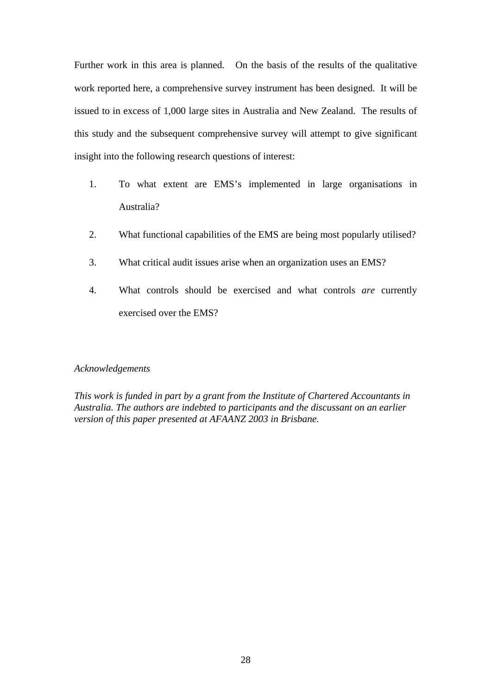Further work in this area is planned. On the basis of the results of the qualitative work reported here, a comprehensive survey instrument has been designed. It will be issued to in excess of 1,000 large sites in Australia and New Zealand. The results of this study and the subsequent comprehensive survey will attempt to give significant insight into the following research questions of interest:

- 1. To what extent are EMS's implemented in large organisations in Australia?
- 2. What functional capabilities of the EMS are being most popularly utilised?
- 3. What critical audit issues arise when an organization uses an EMS?
- 4. What controls should be exercised and what controls *are* currently exercised over the EMS?

#### *Acknowledgements*

*This work is funded in part by a grant from the Institute of Chartered Accountants in Australia. The authors are indebted to participants and the discussant on an earlier version of this paper presented at AFAANZ 2003 in Brisbane.*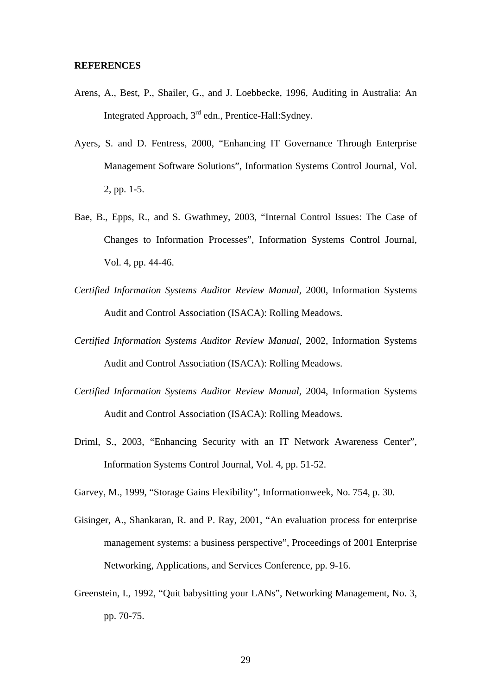#### **REFERENCES**

- Arens, A., Best, P., Shailer, G., and J. Loebbecke, 1996, Auditing in Australia: An Integrated Approach, 3rd edn., Prentice-Hall:Sydney.
- Ayers, S. and D. Fentress, 2000, "Enhancing IT Governance Through Enterprise Management Software Solutions", Information Systems Control Journal, Vol. 2, pp. 1-5.
- Bae, B., Epps, R., and S. Gwathmey, 2003, "Internal Control Issues: The Case of Changes to Information Processes", Information Systems Control Journal, Vol. 4, pp. 44-46.
- *Certified Information Systems Auditor Review Manual*, 2000, Information Systems Audit and Control Association (ISACA): Rolling Meadows.
- *Certified Information Systems Auditor Review Manual*, 2002, Information Systems Audit and Control Association (ISACA): Rolling Meadows.
- *Certified Information Systems Auditor Review Manual*, 2004, Information Systems Audit and Control Association (ISACA): Rolling Meadows.
- Driml, S., 2003, "Enhancing Security with an IT Network Awareness Center", Information Systems Control Journal, Vol. 4, pp. 51-52.
- Garvey, M., 1999, "Storage Gains Flexibility", Informationweek, No. 754, p. 30.
- Gisinger, A., Shankaran, R. and P. Ray, 2001, "An evaluation process for enterprise management systems: a business perspective", Proceedings of 2001 Enterprise Networking, Applications, and Services Conference, pp. 9-16.
- Greenstein, I., 1992, "Quit babysitting your LANs", Networking Management, No. 3, pp. 70-75.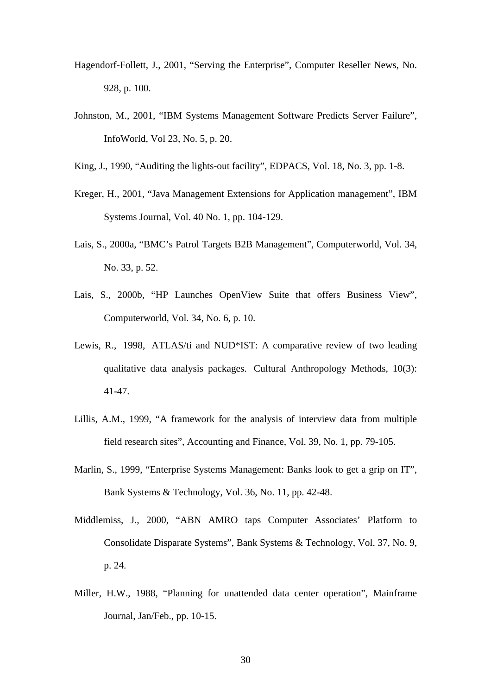- Hagendorf-Follett, J., 2001, "Serving the Enterprise", Computer Reseller News, No. 928, p. 100.
- Johnston, M., 2001, "IBM Systems Management Software Predicts Server Failure", InfoWorld, Vol 23, No. 5, p. 20.

King, J., 1990, "Auditing the lights-out facility", EDPACS, Vol. 18, No. 3, pp. 1-8.

- Kreger, H., 2001, "Java Management Extensions for Application management", IBM Systems Journal, Vol. 40 No. 1, pp. 104-129.
- Lais, S., 2000a, "BMC's Patrol Targets B2B Management", Computerworld, Vol. 34, No. 33, p. 52.
- Lais, S., 2000b, "HP Launches OpenView Suite that offers Business View", Computerworld, Vol. 34, No. 6, p. 10.
- Lewis, R., 1998, ATLAS/ti and NUD\*IST: A comparative review of two leading qualitative data analysis packages. Cultural Anthropology Methods, 10(3): 41-47.
- Lillis, A.M., 1999, "A framework for the analysis of interview data from multiple field research sites", Accounting and Finance, Vol. 39, No. 1, pp. 79-105.
- Marlin, S., 1999, "Enterprise Systems Management: Banks look to get a grip on IT", Bank Systems & Technology, Vol. 36, No. 11, pp. 42-48.
- Middlemiss, J., 2000, "ABN AMRO taps Computer Associates' Platform to Consolidate Disparate Systems", Bank Systems & Technology, Vol. 37, No. 9, p. 24.
- Miller, H.W., 1988, "Planning for unattended data center operation", Mainframe Journal, Jan/Feb., pp. 10-15.